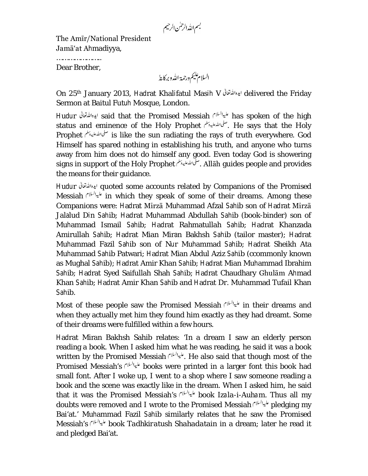بسم الله الرحمٰن الرحيم

The Amīr/National President Jamā'at Ahmadiyya,

………………………… Dear Brother,

On 25<sup>th</sup> January 2013, Hadrat Khalifatul Masih V ايده الشقالي delivered the Friday Sermon at Baitul Futuh Mosque, London.

Hudur ایده انتشرتعالی said that the Promised Messiah المسين السلام بيده انتشرت المستقالی Hudur به انتشرتعالی status and eminence of the Holy Prophet . سلى الله عليه تبلم السلم الله عليه بن He says that the Holy Prophet is like the sun radiating the rays of truth everywhere. God Himself has spared nothing in establishing his truth, and anyone who turns away from him does not do himself any good. Even today God is showering signs in support of the Holy Prophet . Allāh guides people and provides the means for their guidance.

Hudur quoted some accounts related by Companions of the Promised Messiah in which they speak of some of their dreams. Among these Companions were: Hadrat Mirzā Muhammad Afzal Sahib son of Hadrat Mirzā Jalalud Din Sahib; Hadrat Muhammad Abdullah Sahib (book-binder) son of Muhammad Ismail Sahib; Hadrat Rahmatullah Sahib; Hadrat Khanzada Amirullah Sahib; Hadrat Mian Miran Bakhsh Sahib (tailor master); Hadrat Muhammad Fazil Sahib son of Nur Muhammad Sahib; Hadrat Sheikh Ata Muhammad Sahib Patwari; Hadrat Mian Abdul Aziz Sahib (ccommonly known as Mughal Sahib); Hadrat Amir Khan Sahib; Hadrat Mian Muhammad Ibrahim Sahib; Hadrat Syed Saifullah Shah Sahib; Hadrat Chaudhary Ghulām Ahmad Khan Sahib; Hadrat Amir Khan Sahib and Hadrat Dr. Muhammad Tufail Khan Sahib.

Most of these people saw the Promised Messiah السليالله in their dreams and when they actually met him they found him exactly as they had dreamt. Some of their dreams were fulfilled within a few hours.

Hadrat Miran Bakhsh Sahib relates: 'In a dream I saw an elderly person reading a book. When I asked him what he was reading, he said it was a book written by the Promised Messiah . بليدالله He also said that though most of the Promised Messiah's *المياليان* books were printed in a larger font this book had small font. After I woke up, I went to a shop where I saw someone reading a book and the scene was exactly like in the dream. When I asked him, he said that it was the Promised Messiah's book *Izala-i-Auham.* Thus all my doubts were removed and I wrote to the Promised Messiah  $f^{\mu\nu}$  pledging my Bai'at.' Muhammad Fazil Sahib similarly relates that he saw the Promised Messiah's book *Tadhkiratush Shahadatain* in a dream; later he read it and pledged Bai'at.